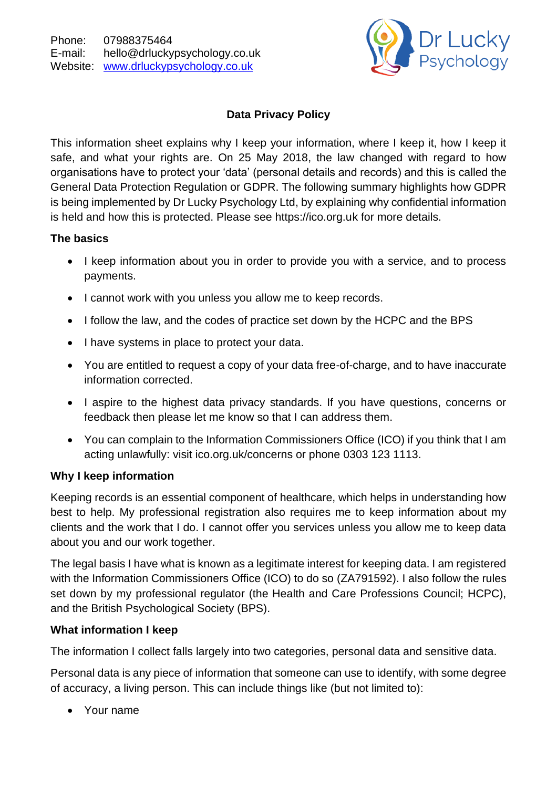

# **Data Privacy Policy**

This information sheet explains why I keep your information, where I keep it, how I keep it safe, and what your rights are. On 25 May 2018, the law changed with regard to how organisations have to protect your 'data' (personal details and records) and this is called the General Data Protection Regulation or GDPR. The following summary highlights how GDPR is being implemented by Dr Lucky Psychology Ltd, by explaining why confidential information is held and how this is protected. Please see https://ico.org.uk for more details.

## **The basics**

- I keep information about you in order to provide you with a service, and to process payments.
- I cannot work with you unless you allow me to keep records.
- I follow the law, and the codes of practice set down by the HCPC and the BPS
- I have systems in place to protect your data.
- You are entitled to request a copy of your data free-of-charge, and to have inaccurate information corrected.
- I aspire to the highest data privacy standards. If you have questions, concerns or feedback then please let me know so that I can address them.
- You can complain to the Information Commissioners Office (ICO) if you think that I am acting unlawfully: visit ico.org.uk/concerns or phone 0303 123 1113.

# **Why I keep information**

Keeping records is an essential component of healthcare, which helps in understanding how best to help. My professional registration also requires me to keep information about my clients and the work that I do. I cannot offer you services unless you allow me to keep data about you and our work together.

The legal basis I have what is known as a legitimate interest for keeping data. I am registered with the Information Commissioners Office (ICO) to do so (ZA791592). I also follow the rules set down by my professional regulator (the Health and Care Professions Council; HCPC), and the British Psychological Society (BPS).

### **What information I keep**

The information I collect falls largely into two categories, personal data and sensitive data.

Personal data is any piece of information that someone can use to identify, with some degree of accuracy, a living person. This can include things like (but not limited to):

• Your name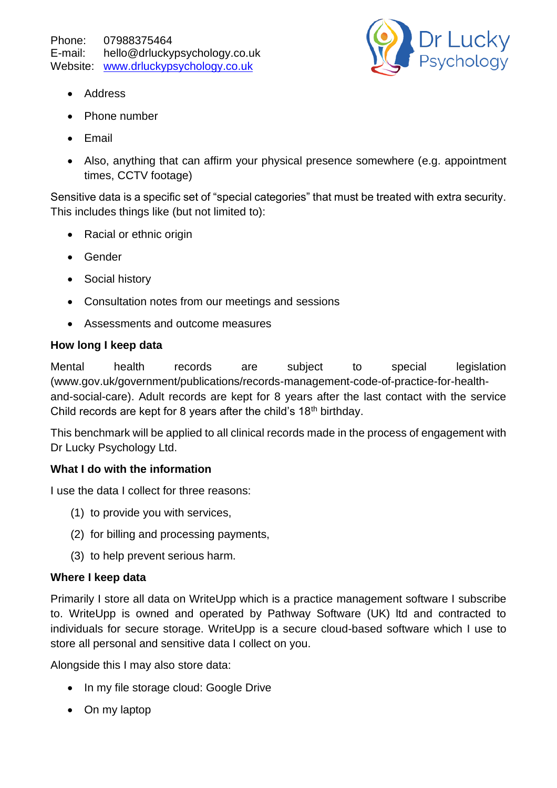

- Address
- Phone number
- Email
- Also, anything that can affirm your physical presence somewhere (e.g. appointment times, CCTV footage)

Sensitive data is a specific set of "special categories" that must be treated with extra security. This includes things like (but not limited to):

- Racial or ethnic origin
- Gender
- Social history
- Consultation notes from our meetings and sessions
- Assessments and outcome measures

#### **How long I keep data**

Mental health records are subject to special legislation (www.gov.uk/government/publications/records-management-code-of-practice-for-healthand-social-care). Adult records are kept for 8 years after the last contact with the service Child records are kept for 8 years after the child's  $18<sup>th</sup>$  birthday.

This benchmark will be applied to all clinical records made in the process of engagement with Dr Lucky Psychology Ltd.

### **What I do with the information**

I use the data I collect for three reasons:

- (1) to provide you with services,
- (2) for billing and processing payments,
- (3) to help prevent serious harm.

### **Where I keep data**

Primarily I store all data on WriteUpp which is a practice management software I subscribe to. WriteUpp is owned and operated by Pathway Software (UK) ltd and contracted to individuals for secure storage. WriteUpp is a secure cloud-based software which I use to store all personal and sensitive data I collect on you.

Alongside this I may also store data:

- In my file storage cloud: Google Drive
- On my laptop